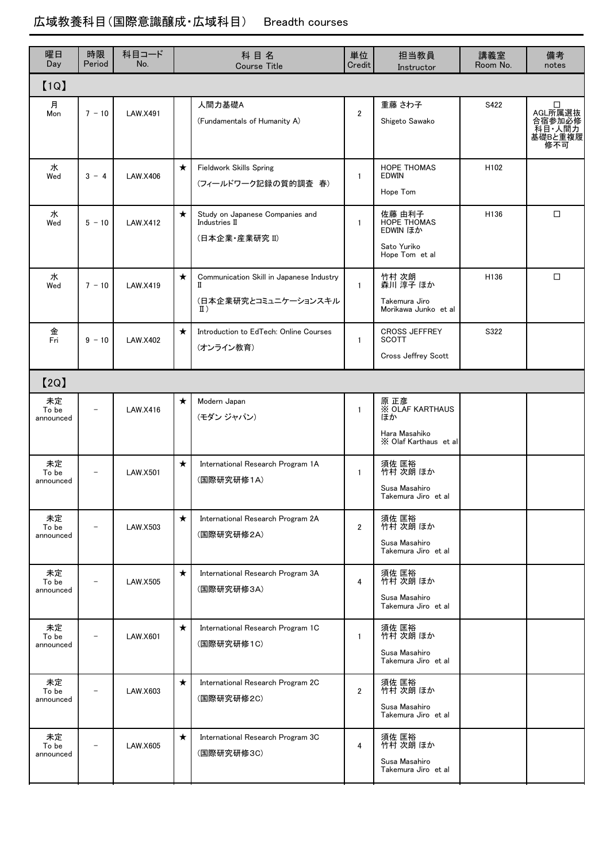## 広域教養科目(国際意識醸成・広域科目) Breadth courses

| 曜日<br>Day                | 時限<br>Period | 科目コード<br>No.    | 科目名<br><b>Course Title</b> |                                                                                       | 単位<br>Credit   | 担当教員<br>Instructor                                                             | 講義室<br>Room No. | 備考<br>notes                                        |  |  |  |  |  |
|--------------------------|--------------|-----------------|----------------------------|---------------------------------------------------------------------------------------|----------------|--------------------------------------------------------------------------------|-----------------|----------------------------------------------------|--|--|--|--|--|
| [1Q]                     |              |                 |                            |                                                                                       |                |                                                                                |                 |                                                    |  |  |  |  |  |
| 月<br>Mon                 | $7 - 10$     | LAW.X491        |                            | 人間力基礎A<br>(Fundamentals of Humanity A)                                                | $\overline{2}$ | 重藤 さわ子<br>Shigeto Sawako                                                       | S422            | □<br>AGL所属選抜<br>合宿参加必修<br>科目 人間力<br>基礎Bと重複履<br>修不可 |  |  |  |  |  |
| 水<br>Wed                 | $3 - 4$      | LAW.X406        | $\star$                    | <b>Fieldwork Skills Spring</b><br>(フィールドワーク記録の質的調査 春)                                 | $\mathbf{1}$   | <b>HOPE THOMAS</b><br><b>EDWIN</b><br>Hope Tom                                 | H102            |                                                    |  |  |  |  |  |
| 水<br>Wed                 | $5 - 10$     | <b>LAW.X412</b> | $\star$                    | Study on Japanese Companies and<br>Industries II<br>(日本企業·産業研究 II)                    | $\mathbf{1}$   | 佐藤 由利子<br><b>HOPE THOMAS</b><br>EDWIN ほか<br>Sato Yuriko<br>Hope Tom et al      | H136            | $\Box$                                             |  |  |  |  |  |
| 水<br>Wed                 | $7 - 10$     | <b>LAW.X419</b> | $\star$                    | Communication Skill in Japanese Industry<br>П<br>(日本企業研究とコミュニケーションスキル<br>$\text{I}$ ) | $\mathbf{1}$   | 竹村 次朗<br>森川 淳子 ほか<br>Takemura Jiro<br>Morikawa Junko et al                     | H136            | $\Box$                                             |  |  |  |  |  |
| 金<br>Fri                 | $9 - 10$     | LAW.X402        | $\star$                    | Introduction to EdTech: Online Courses<br>(オンライン教育)                                   | $\mathbf{1}$   | <b>CROSS JEFFREY</b><br><b>SCOTT</b><br><b>Cross Jeffrey Scott</b>             | S322            |                                                    |  |  |  |  |  |
| [2Q]                     |              |                 |                            |                                                                                       |                |                                                                                |                 |                                                    |  |  |  |  |  |
| 未定<br>To be<br>announced |              | LAW.X416        | $\star$                    | Modern Japan<br>(モダン ジャパン)                                                            | $\mathbf{1}$   | 原 正彦<br><b>X OLAF KARTHAUS</b><br>ぼか<br>Hara Masahiko<br>X Olaf Karthaus et al |                 |                                                    |  |  |  |  |  |
| 未定<br>To be<br>announced |              | <b>LAW.X501</b> | $\star$                    | International Research Program 1A<br>(国際研究研修1A)                                       | $\mathbf{1}$   | 須佐 匡裕<br>竹村 次朗 ほか<br>Susa Masahiro<br>Takemura Jiro et al                      |                 |                                                    |  |  |  |  |  |
| 未定<br>To be<br>announced |              | LAW.X503        | $\star$                    | International Research Program 2A<br>(国際研究研修2A)                                       | $\overline{2}$ | 須佐 匡裕<br>竹村 次朗 ほか<br>Susa Masahiro<br>Takemura Jiro et al                      |                 |                                                    |  |  |  |  |  |
| 未定<br>To be<br>announced |              | <b>LAW.X505</b> | $\star$                    | International Research Program 3A<br>(国際研究研修3A)                                       | 4              | 須佐 匡裕<br>竹村 次朗 ほか<br>Susa Masahiro<br>Takemura Jiro et al                      |                 |                                                    |  |  |  |  |  |
| 未定<br>To be<br>announced |              | <b>LAW.X601</b> | $\star$                    | International Research Program 1C<br>(国際研究研修1C)                                       | $\mathbf{1}$   | 須佐 匡裕<br>竹村 次朗 ほか<br>Susa Masahiro<br>Takemura Jiro et al                      |                 |                                                    |  |  |  |  |  |
| 未定<br>To be<br>announced |              | LAW.X603        | $\star$                    | International Research Program 2C<br>(国際研究研修2C)                                       | $\overline{2}$ | 須佐 匡裕<br>竹村 次朗 ほか<br>Susa Masahiro<br>Takemura Jiro et al                      |                 |                                                    |  |  |  |  |  |
| 未定<br>To be<br>announced |              | LAW.X605        | $\star$                    | International Research Program 3C<br>(国際研究研修3C)                                       | 4              | 須佐 匡裕<br>竹村 次朗 ほか<br>Susa Masahiro<br>Takemura Jiro et al                      |                 |                                                    |  |  |  |  |  |